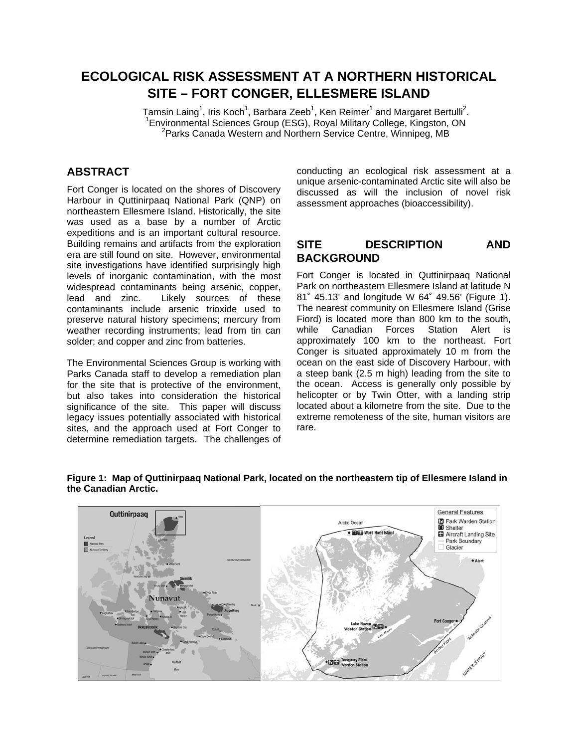# **ECOLOGICAL RISK ASSESSMENT AT A NORTHERN HISTORICAL SITE – FORT CONGER, ELLESMERE ISLAND**

Tamsin Laing<sup>1</sup>, Iris Koch<sup>1</sup>, Barbara Zeeb<sup>1</sup>, Ken Reimer<sup>1</sup> and Margaret Bertulli<sup>2</sup>.<br>1Environmental Sciences Croup (ESC), Boyal Military College, Kingsten, ON. <sup>1</sup> Environmental Sciences Group (ESG), Royal Military College, Kingston, ON <sup>2</sup>Parks Canada Western and Northern Service Centre, Winnipeg, MB

# **ABSTRACT**

Fort Conger is located on the shores of Discovery Harbour in Quttinirpaaq National Park (QNP) on northeastern Ellesmere Island. Historically, the site was used as a base by a number of Arctic expeditions and is an important cultural resource. Building remains and artifacts from the exploration era are still found on site. However, environmental site investigations have identified surprisingly high levels of inorganic contamination, with the most widespread contaminants being arsenic, copper, lead and zinc. Likely sources of these contaminants include arsenic trioxide used to preserve natural history specimens; mercury from weather recording instruments; lead from tin can solder; and copper and zinc from batteries.

The Environmental Sciences Group is working with Parks Canada staff to develop a remediation plan for the site that is protective of the environment, but also takes into consideration the historical significance of the site. This paper will discuss legacy issues potentially associated with historical sites, and the approach used at Fort Conger to determine remediation targets. The challenges of

conducting an ecological risk assessment at a unique arsenic-contaminated Arctic site will also be discussed as will the inclusion of novel risk assessment approaches (bioaccessibility).

### **SITE DESCRIPTION AND BACKGROUND**

Fort Conger is located in Quttinirpaaq National Park on northeastern Ellesmere Island at latitude N 81˚ 45.13' and longitude W 64˚ 49.56' (Figure 1). The nearest community on Ellesmere Island (Grise Fiord) is located more than 800 km to the south, while Canadian Forces Station Alert is approximately 100 km to the northeast. Fort Conger is situated approximately 10 m from the ocean on the east side of Discovery Harbour, with a steep bank (2.5 m high) leading from the site to the ocean. Access is generally only possible by helicopter or by Twin Otter, with a landing strip located about a kilometre from the site. Due to the extreme remoteness of the site, human visitors are rare.



#### **Figure 1: Map of Quttinirpaaq National Park, located on the northeastern tip of Ellesmere Island in the Canadian Arctic.**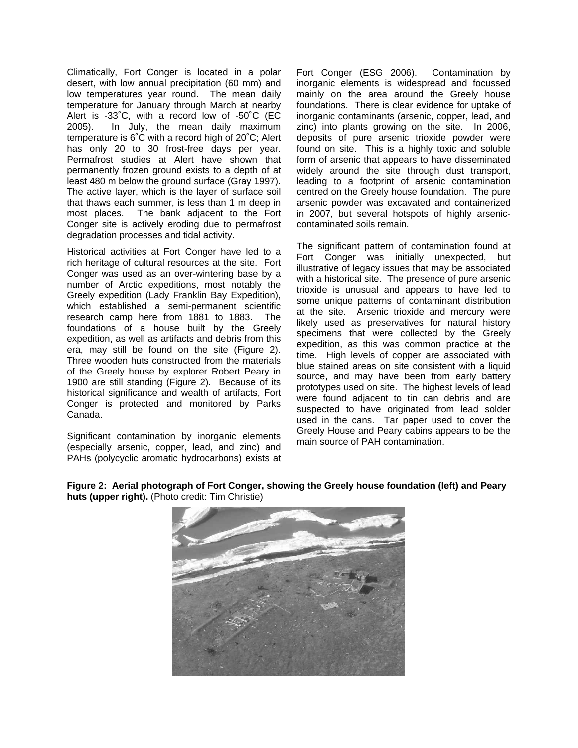Climatically, Fort Conger is located in a polar desert, with low annual precipitation (60 mm) and low temperatures year round. The mean daily temperature for January through March at nearby Alert is -33˚C, with a record low of -50˚C (EC 2005). In July, the mean daily maximum temperature is 6˚C with a record high of 20˚C; Alert has only 20 to 30 frost-free days per year. Permafrost studies at Alert have shown that permanently frozen ground exists to a depth of at least 480 m below the ground surface (Gray 1997). The active layer, which is the layer of surface soil that thaws each summer, is less than 1 m deep in most places. The bank adjacent to the Fort Conger site is actively eroding due to permafrost degradation processes and tidal activity.

Historical activities at Fort Conger have led to a rich heritage of cultural resources at the site. Fort Conger was used as an over-wintering base by a number of Arctic expeditions, most notably the Greely expedition (Lady Franklin Bay Expedition), which established a semi-permanent scientific research camp here from 1881 to 1883. The foundations of a house built by the Greely expedition, as well as artifacts and debris from this era, may still be found on the site (Figure 2). Three wooden huts constructed from the materials of the Greely house by explorer Robert Peary in 1900 are still standing (Figure 2). Because of its historical significance and wealth of artifacts, Fort Conger is protected and monitored by Parks Canada.

Significant contamination by inorganic elements (especially arsenic, copper, lead, and zinc) and PAHs (polycyclic aromatic hydrocarbons) exists at Fort Conger (ESG 2006). Contamination by inorganic elements is widespread and focussed mainly on the area around the Greely house foundations. There is clear evidence for uptake of inorganic contaminants (arsenic, copper, lead, and zinc) into plants growing on the site. In 2006, deposits of pure arsenic trioxide powder were found on site. This is a highly toxic and soluble form of arsenic that appears to have disseminated widely around the site through dust transport, leading to a footprint of arsenic contamination centred on the Greely house foundation. The pure arsenic powder was excavated and containerized in 2007, but several hotspots of highly arseniccontaminated soils remain.

The significant pattern of contamination found at Fort Conger was initially unexpected, but illustrative of legacy issues that may be associated with a historical site. The presence of pure arsenic trioxide is unusual and appears to have led to some unique patterns of contaminant distribution at the site. Arsenic trioxide and mercury were likely used as preservatives for natural history specimens that were collected by the Greely expedition, as this was common practice at the time. High levels of copper are associated with blue stained areas on site consistent with a liquid source, and may have been from early battery prototypes used on site. The highest levels of lead were found adjacent to tin can debris and are suspected to have originated from lead solder used in the cans. Tar paper used to cover the Greely House and Peary cabins appears to be the main source of PAH contamination.



#### **Figure 2: Aerial photograph of Fort Conger, showing the Greely house foundation (left) and Peary huts (upper right).** (Photo credit: Tim Christie)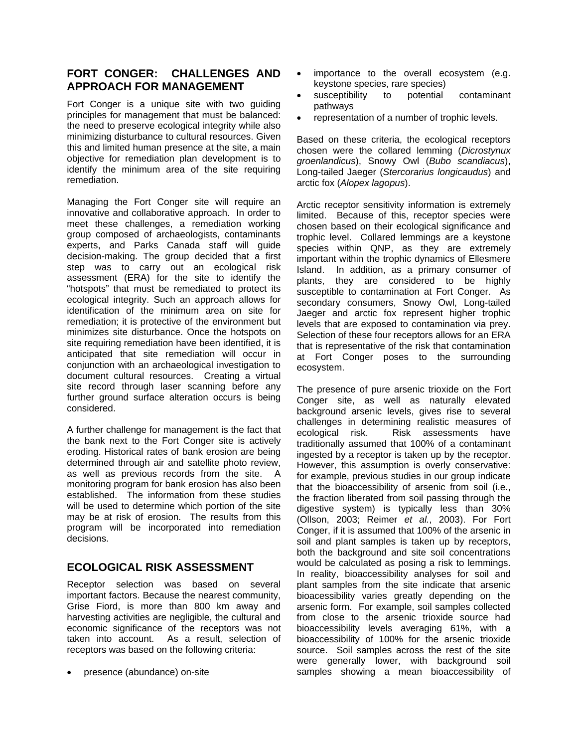# **FORT CONGER: CHALLENGES AND APPROACH FOR MANAGEMENT**

Fort Conger is a unique site with two guiding principles for management that must be balanced: the need to preserve ecological integrity while also minimizing disturbance to cultural resources. Given this and limited human presence at the site, a main objective for remediation plan development is to identify the minimum area of the site requiring remediation.

Managing the Fort Conger site will require an innovative and collaborative approach. In order to meet these challenges, a remediation working group composed of archaeologists, contaminants experts, and Parks Canada staff will guide decision-making. The group decided that a first step was to carry out an ecological risk assessment (ERA) for the site to identify the "hotspots" that must be remediated to protect its ecological integrity. Such an approach allows for identification of the minimum area on site for remediation; it is protective of the environment but minimizes site disturbance. Once the hotspots on site requiring remediation have been identified, it is anticipated that site remediation will occur in conjunction with an archaeological investigation to document cultural resources. Creating a virtual site record through laser scanning before any further ground surface alteration occurs is being considered.

A further challenge for management is the fact that the bank next to the Fort Conger site is actively eroding. Historical rates of bank erosion are being determined through air and satellite photo review, as well as previous records from the site. A monitoring program for bank erosion has also been established. The information from these studies will be used to determine which portion of the site may be at risk of erosion. The results from this program will be incorporated into remediation decisions.

### **ECOLOGICAL RISK ASSESSMENT**

Receptor selection was based on several important factors. Because the nearest community, Grise Fiord, is more than 800 km away and harvesting activities are negligible, the cultural and economic significance of the receptors was not taken into account. As a result, selection of receptors was based on the following criteria:

• presence (abundance) on-site

- importance to the overall ecosystem (e.g. keystone species, rare species)
- susceptibility to potential contaminant pathways
- representation of a number of trophic levels.

Based on these criteria, the ecological receptors chosen were the collared lemming (*Dicrostynux groenlandicus*), Snowy Owl (*Bubo scandiacus*), Long-tailed Jaeger (*Stercorarius longicaudus*) and arctic fox (*Alopex lagopus*).

Arctic receptor sensitivity information is extremely limited. Because of this, receptor species were chosen based on their ecological significance and trophic level. Collared lemmings are a keystone species within QNP, as they are extremely important within the trophic dynamics of Ellesmere Island. In addition, as a primary consumer of plants, they are considered to be highly susceptible to contamination at Fort Conger. As secondary consumers, Snowy Owl, Long-tailed Jaeger and arctic fox represent higher trophic levels that are exposed to contamination via prey. Selection of these four receptors allows for an ERA that is representative of the risk that contamination at Fort Conger poses to the surrounding ecosystem.

The presence of pure arsenic trioxide on the Fort Conger site, as well as naturally elevated background arsenic levels, gives rise to several challenges in determining realistic measures of ecological risk. Risk assessments have traditionally assumed that 100% of a contaminant ingested by a receptor is taken up by the receptor. However, this assumption is overly conservative: for example, previous studies in our group indicate that the bioaccessibility of arsenic from soil (i.e., the fraction liberated from soil passing through the digestive system) is typically less than 30% (Ollson, 2003; Reimer *et al.*, 2003). For Fort Conger, if it is assumed that 100% of the arsenic in soil and plant samples is taken up by receptors, both the background and site soil concentrations would be calculated as posing a risk to lemmings. In reality, bioaccessibility analyses for soil and plant samples from the site indicate that arsenic bioacessibility varies greatly depending on the arsenic form. For example, soil samples collected from close to the arsenic trioxide source had bioaccessibility levels averaging 61%, with a bioaccessibility of 100% for the arsenic trioxide source. Soil samples across the rest of the site were generally lower, with background soil samples showing a mean bioaccessibility of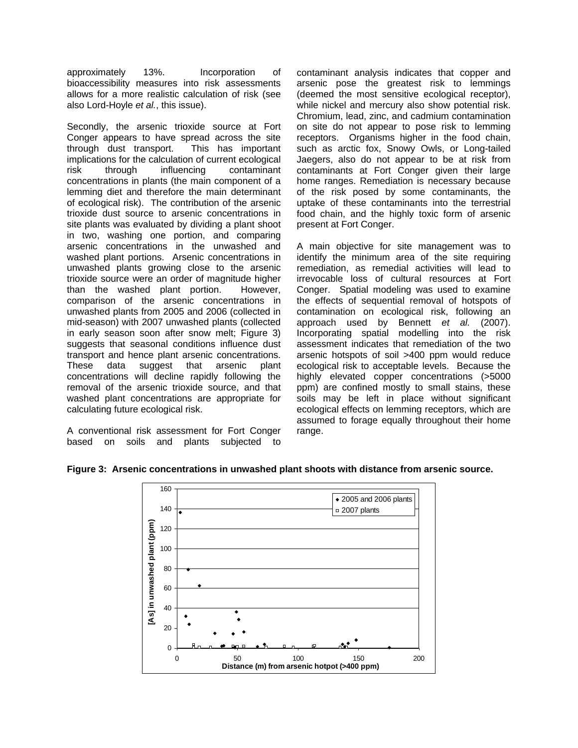approximately 13%. Incorporation of bioaccessibility measures into risk assessments allows for a more realistic calculation of risk (see also Lord-Hoyle *et al.*, this issue).

Secondly, the arsenic trioxide source at Fort Conger appears to have spread across the site through dust transport. This has important implications for the calculation of current ecological risk through influencing contaminant concentrations in plants (the main component of a lemming diet and therefore the main determinant of ecological risk). The contribution of the arsenic trioxide dust source to arsenic concentrations in site plants was evaluated by dividing a plant shoot in two, washing one portion, and comparing arsenic concentrations in the unwashed and washed plant portions. Arsenic concentrations in unwashed plants growing close to the arsenic trioxide source were an order of magnitude higher than the washed plant portion. However, comparison of the arsenic concentrations in unwashed plants from 2005 and 2006 (collected in mid-season) with 2007 unwashed plants (collected in early season soon after snow melt; Figure 3) suggests that seasonal conditions influence dust transport and hence plant arsenic concentrations. These data suggest that arsenic plant concentrations will decline rapidly following the removal of the arsenic trioxide source, and that washed plant concentrations are appropriate for calculating future ecological risk.

A conventional risk assessment for Fort Conger based on soils and plants subjected to contaminant analysis indicates that copper and arsenic pose the greatest risk to lemmings (deemed the most sensitive ecological receptor), while nickel and mercury also show potential risk. Chromium, lead, zinc, and cadmium contamination on site do not appear to pose risk to lemming receptors. Organisms higher in the food chain, such as arctic fox, Snowy Owls, or Long-tailed Jaegers, also do not appear to be at risk from contaminants at Fort Conger given their large home ranges. Remediation is necessary because of the risk posed by some contaminants, the uptake of these contaminants into the terrestrial food chain, and the highly toxic form of arsenic present at Fort Conger.

A main objective for site management was to identify the minimum area of the site requiring remediation, as remedial activities will lead to irrevocable loss of cultural resources at Fort Conger. Spatial modeling was used to examine the effects of sequential removal of hotspots of contamination on ecological risk, following an approach used by Bennett *et al.* (2007). Incorporating spatial modelling into the risk assessment indicates that remediation of the two arsenic hotspots of soil >400 ppm would reduce ecological risk to acceptable levels. Because the highly elevated copper concentrations (>5000 ppm) are confined mostly to small stains, these soils may be left in place without significant ecological effects on lemming receptors, which are assumed to forage equally throughout their home range.



**Figure 3: Arsenic concentrations in unwashed plant shoots with distance from arsenic source.**